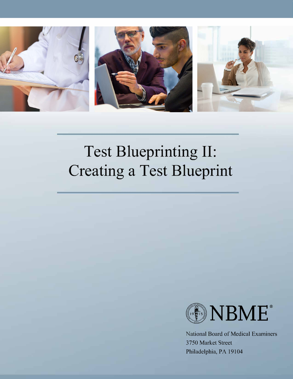

# **Test Blueprinting II: Creating a Test Blueprint**



National Board of Medical Examiners 3750 Market Street Philadelphia, PA 19104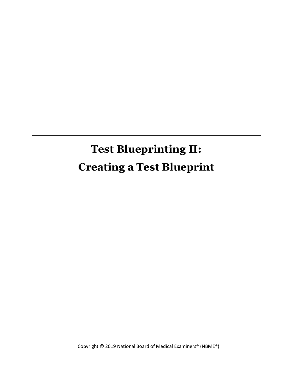# **Test Blueprinting II: Creating a Test Blueprint**

Copyright © 2019 National Board of Medical Examiners® (NBME®)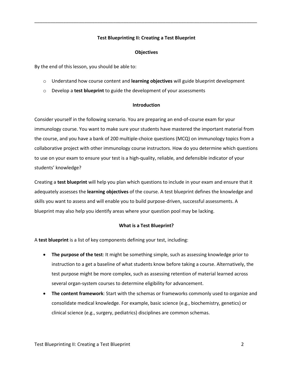# **Test Blueprinting II: Creating a Test Blueprint**

\_\_\_\_\_\_\_\_\_\_\_\_\_\_\_\_\_\_\_\_\_\_\_\_\_\_\_\_\_\_\_\_\_\_\_\_\_\_\_\_\_\_\_\_\_\_\_\_\_\_\_\_\_\_\_\_\_\_\_\_\_\_\_\_\_\_\_\_\_\_\_\_\_\_\_\_\_\_\_\_\_\_\_\_\_

# **Objectives**

By the end of this lesson, you should be able to:

- o Understand how course content and **learning objectives** will guide blueprint development
- o Develop a **test blueprint** to guide the development of your assessments

# **Introduction**

Consider yourself in the following scenario. You are preparing an end-of-course exam for your immunology course. You want to make sure your students have mastered the important material from the course, and you have a bank of 200 multiple-choice questions (MCQ) on immunology topics from a collaborative project with other immunology course instructors. How do you determine which questions to use on your exam to ensure your test is a high-quality, reliable, and defensible indicator of your students' knowledge?

Creating a **test blueprint** will help you plan which questions to include in your exam and ensure that it adequately assesses the **learning objectives** of the course. A test blueprint defines the knowledge and skills you want to assess and will enable you to build purpose-driven, successful assessments. A blueprint may also help you identify areas where your question pool may be lacking.

# **What is a Test Blueprint?**

A **test blueprint** is a list of key components defining your test, including:

- **The purpose of the test**: It might be something simple, such as assessing knowledge prior to instruction to a get a baseline of what students know before taking a course. Alternatively, the test purpose might be more complex, such as assessing retention of material learned across several organ-system courses to determine eligibility for advancement.
- **The content framework**: Start with the schemas or frameworks commonly used to organize and consolidate medical knowledge. For example, basic science (e.g., biochemistry, genetics) or clinical science (e.g., surgery, pediatrics) disciplines are common schemas.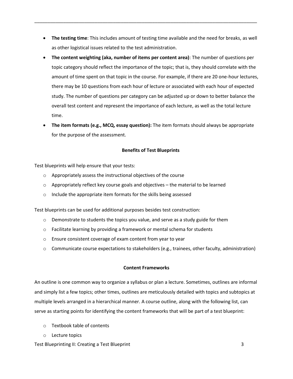**The testing time**: This includes amount of testing time available and the need for breaks, as well as other logistical issues related to the test administration.

\_\_\_\_\_\_\_\_\_\_\_\_\_\_\_\_\_\_\_\_\_\_\_\_\_\_\_\_\_\_\_\_\_\_\_\_\_\_\_\_\_\_\_\_\_\_\_\_\_\_\_\_\_\_\_\_\_\_\_\_\_\_\_\_\_\_\_\_\_\_\_\_\_\_\_\_\_\_\_\_\_\_\_\_\_

- **The content weighting (aka, number of items per content area)**: The number of questions per topic category should reflect the importance of the topic; that is, they should correlate with the amount of time spent on that topic in the course. For example, if there are 20 one-hour lectures, there may be 10 questions from each hour of lecture or associated with each hour of expected study. The number of questions per category can be adjusted up or down to better balance the overall test content and represent the importance of each lecture, as well as the total lecture time.
- **The item formats (e.g., MCQ, essay question):** The item formats should always be appropriate for the purpose of the assessment.

# **Benefits of Test Blueprints**

Test blueprints will help ensure that your tests:

- o Appropriately assess the instructional objectives of the course
- $\circ$  Appropriately reflect key course goals and objectives the material to be learned
- o Include the appropriate item formats for the skills being assessed

Test blueprints can be used for additional purposes besides test construction:

- $\circ$  Demonstrate to students the topics you value, and serve as a study guide for them
- $\circ$  Facilitate learning by providing a framework or mental schema for students
- o Ensure consistent coverage of exam content from year to year
- $\circ$  Communicate course expectations to stakeholders (e.g., trainees, other faculty, administration)

# **Content Frameworks**

An outline is one common way to organize a syllabus or plan a lecture. Sometimes, outlines are informal and simply list a few topics; other times, outlines are meticulously detailed with topics and subtopics at multiple levels arranged in a hierarchical manner. A course outline, along with the following list, can serve as starting points for identifying the content frameworks that will be part of a test blueprint:

- o Textbook table of contents
- o Lecture topics

Test Blueprinting II: Creating a Test Blueprint 3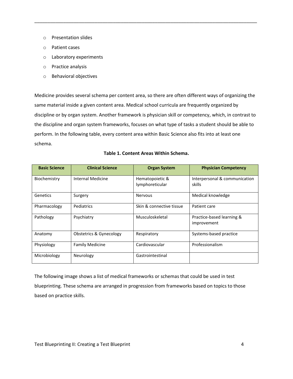- o Presentation slides
- o Patient cases
- o Laboratory experiments
- o Practice analysis
- o Behavioral objectives

Medicine provides several schema per content area, so there are often different ways of organizing the same material inside a given content area. Medical school curricula are frequently organized by discipline or by organ system. Another framework is physician skill or competency, which, in contrast to the discipline and organ system frameworks, focuses on what type of tasks a student should be able to perform. In the following table, every content area within Basic Science also fits into at least one schema.

\_\_\_\_\_\_\_\_\_\_\_\_\_\_\_\_\_\_\_\_\_\_\_\_\_\_\_\_\_\_\_\_\_\_\_\_\_\_\_\_\_\_\_\_\_\_\_\_\_\_\_\_\_\_\_\_\_\_\_\_\_\_\_\_\_\_\_\_\_\_\_\_\_\_\_\_\_\_\_\_\_\_\_\_\_

| <b>Basic Science</b> | <b>Clinical Science</b>            | <b>Organ System</b>                | <b>Physician Competency</b>             |
|----------------------|------------------------------------|------------------------------------|-----------------------------------------|
| Biochemistry         | Internal Medicine                  | Hematopoietic &<br>lymphoreticular | Interpersonal & communication<br>skills |
|                      |                                    |                                    |                                         |
| Genetics             | Surgery                            | Nervous                            | Medical knowledge                       |
| Pharmacology         | Pediatrics                         | Skin & connective tissue           | Patient care                            |
| Pathology            | Psychiatry                         | Musculoskeletal                    | Practice-based learning &               |
|                      |                                    |                                    | improvement                             |
| Anatomy              | <b>Obstetrics &amp; Gynecology</b> | Respiratory                        | Systems-based practice                  |
| Physiology           | <b>Family Medicine</b>             | Cardiovascular                     | Professionalism                         |
| Microbiology         | Neurology                          | Gastrointestinal                   |                                         |

# **Table 1. Content Areas Within Schema.**

The following image shows a list of medical frameworks or schemas that could be used in test blueprinting. These schema are arranged in progression from frameworks based on topics to those based on practice skills.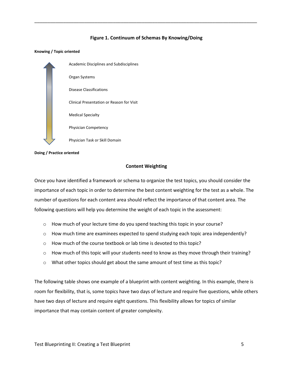#### **Figure 1. Continuum of Schemas By Knowing/Doing**

\_\_\_\_\_\_\_\_\_\_\_\_\_\_\_\_\_\_\_\_\_\_\_\_\_\_\_\_\_\_\_\_\_\_\_\_\_\_\_\_\_\_\_\_\_\_\_\_\_\_\_\_\_\_\_\_\_\_\_\_\_\_\_\_\_\_\_\_\_\_\_\_\_\_\_\_\_\_\_\_\_\_\_\_\_

#### **Knowing / Topic oriented**



**Doing / Practice oriented**

#### **Content Weighting**

Once you have identified a framework or schema to organize the test topics, you should consider the importance of each topic in order to determine the best content weighting for the test as a whole. The number of questions for each content area should reflect the importance of that content area. The following questions will help you determine the weight of each topic in the assessment:

- $\circ$  How much of your lecture time do you spend teaching this topic in your course?
- $\circ$  How much time are examinees expected to spend studying each topic area independently?
- o How much of the course textbook or lab time is devoted to this topic?
- $\circ$  How much of this topic will your students need to know as they move through their training?
- o What other topics should get about the same amount of test time as this topic?

The following table shows one example of a blueprint with content weighting. In this example, there is room for flexibility, that is, some topics have two days of lecture and require five questions, while others have two days of lecture and require eight questions. This flexibility allows for topics of similar importance that may contain content of greater complexity.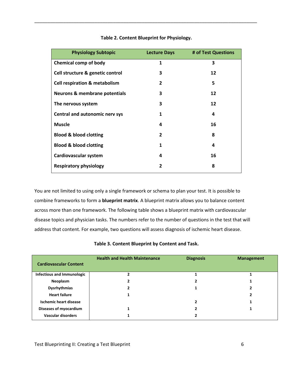| <b>Physiology Subtopic</b>               | <b>Lecture Days</b> | # of Test Questions |
|------------------------------------------|---------------------|---------------------|
| <b>Chemical comp of body</b>             | $\mathbf{1}$        | 3                   |
| Cell structure & genetic control         | 3                   | 12                  |
| <b>Cell respiration &amp; metabolism</b> | $\overline{2}$      | 5                   |
| <b>Neurons &amp; membrane potentials</b> | 3                   | 12                  |
| The nervous system                       | 3                   | 12                  |
| <b>Central and autonomic nerv sys</b>    | 1                   | 4                   |
| <b>Muscle</b>                            | 4                   | 16                  |
| <b>Blood &amp; blood clotting</b>        | $\overline{2}$      | 8                   |
| <b>Blood &amp; blood clotting</b>        | 1                   | 4                   |
| Cardiovascular system                    | 4                   | 16                  |
| <b>Respiratory physiology</b>            | 2                   | 8                   |

# **Table 2. Content Blueprint for Physiology.**

\_\_\_\_\_\_\_\_\_\_\_\_\_\_\_\_\_\_\_\_\_\_\_\_\_\_\_\_\_\_\_\_\_\_\_\_\_\_\_\_\_\_\_\_\_\_\_\_\_\_\_\_\_\_\_\_\_\_\_\_\_\_\_\_\_\_\_\_\_\_\_\_\_\_\_\_\_\_\_\_\_\_\_\_\_

You are not limited to using only a single framework or schema to plan your test. It is possible to combine frameworks to form a **blueprint matrix**. A blueprint matrix allows you to balance content across more than one framework. The following table shows a blueprint matrix with cardiovascular disease topics and physician tasks. The numbers refer to the number of questions in the test that will address that content. For example, two questions will assess diagnosis of ischemic heart disease.

| <b>Cardiovascular Content</b> | <b>Health and Health Maintenance</b> | <b>Diagnosis</b> | <b>Management</b> |
|-------------------------------|--------------------------------------|------------------|-------------------|
| Infectious and Immunologic    |                                      |                  |                   |
| Neoplasm                      |                                      |                  |                   |
| <b>Dysrhythmias</b>           |                                      |                  |                   |
| <b>Heart failure</b>          |                                      |                  |                   |
| <b>Ischemic heart disease</b> |                                      |                  |                   |
| Diseases of myocardium        |                                      |                  |                   |
| Vascular disorders            |                                      |                  |                   |

**Table 3. Content Blueprint by Content and Task.**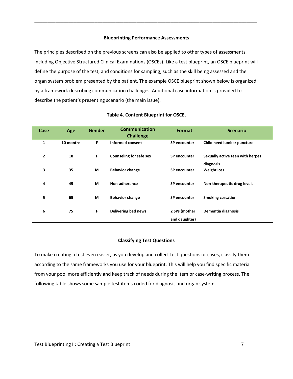#### **Blueprinting Performance Assessments**

\_\_\_\_\_\_\_\_\_\_\_\_\_\_\_\_\_\_\_\_\_\_\_\_\_\_\_\_\_\_\_\_\_\_\_\_\_\_\_\_\_\_\_\_\_\_\_\_\_\_\_\_\_\_\_\_\_\_\_\_\_\_\_\_\_\_\_\_\_\_\_\_\_\_\_\_\_\_\_\_\_\_\_\_\_

The principles described on the previous screens can also be applied to other types of assessments, including Objective Structured Clinical Examinations (OSCEs). Like a test blueprint, an OSCE blueprint will define the purpose of the test, and conditions for sampling, such as the skill being assessed and the organ system problem presented by the patient. The example OSCE blueprint shown below is organized by a framework describing communication challenges. Additional case information is provided to describe the patient's presenting scenario (the main issue).

| Case           | Age       | <b>Gender</b> | <b>Communication</b><br><b>Challenge</b> | Format              | <b>Scenario</b>                  |
|----------------|-----------|---------------|------------------------------------------|---------------------|----------------------------------|
| 1              | 10 months | F             | Informed consent                         | SP encounter        | Child need lumbar puncture       |
| $\overline{2}$ | 18        | F             | <b>Counseling for safe sex</b>           | <b>SP</b> encounter | Sexually active teen with herpes |
| 3              | 35        | M             | <b>Behavior change</b>                   | <b>SP</b> encounter | diagnosis<br><b>Weight loss</b>  |
| 4              | 45        | M             | Non-adherence                            | <b>SP</b> encounter | Non-therapeutic drug levels      |
|                |           |               |                                          |                     |                                  |
| 5              | 65        | M             | <b>Behavior change</b>                   | <b>SP</b> encounter | <b>Smoking cessation</b>         |
| 6              | 75        | F             | Delivering bad news                      | 2 SPs (mother       | Dementia diagnosis               |
|                |           |               |                                          | and daughter)       |                                  |

#### **Table 4. Content Blueprint for OSCE.**

#### **Classifying Test Questions**

To make creating a test even easier, as you develop and collect test questions or cases, classify them according to the same frameworks you use for your blueprint. This will help you find specific material from your pool more efficiently and keep track of needs during the item or case-writing process. The following table shows some sample test items coded for diagnosis and organ system.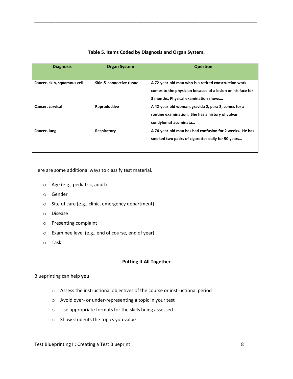| <b>Diagnosis</b>            | <b>Organ System</b>                 | <b>Question</b>                                                                                                                                            |
|-----------------------------|-------------------------------------|------------------------------------------------------------------------------------------------------------------------------------------------------------|
| Cancer, skin, squamous cell | <b>Skin &amp; connective tissue</b> | A 72-year-old man who is a retired construction work<br>comes to the physician because of a lesion on his face for<br>3 months. Physical examination shows |
| Cancer, cervical            | Reproductive                        | A 42-year-old woman, gravida 2, para 2, comes for a<br>routine examination. She has a history of vulvar<br>condylomat acuminata                            |
| Cancer, lung                | Respiratory                         | A 74-year-old man has had confusion for 2 weeks. He has<br>smoked two packs of cigarettes daily for 50 years                                               |

# **Table 5. Items Coded by Diagnosis and Organ System.**

\_\_\_\_\_\_\_\_\_\_\_\_\_\_\_\_\_\_\_\_\_\_\_\_\_\_\_\_\_\_\_\_\_\_\_\_\_\_\_\_\_\_\_\_\_\_\_\_\_\_\_\_\_\_\_\_\_\_\_\_\_\_\_\_\_\_\_\_\_\_\_\_\_\_\_\_\_\_\_\_\_\_\_\_\_

Here are some additional ways to classify test material.

- o Age (e.g., pediatric, adult)
- o Gender
- o Site of care (e.g., clinic, emergency department)
- o Disease
- o Presenting complaint
- o Examinee level (e.g., end of course, end of year)
- o Task

#### **Putting It All Together**

# Blueprinting can help **you**:

- o Assess the instructional objectives of the course or instructional period
- o Avoid over- or under-representing a topic in your test
- o Use appropriate formats for the skills being assessed
- o Show students the topics you value